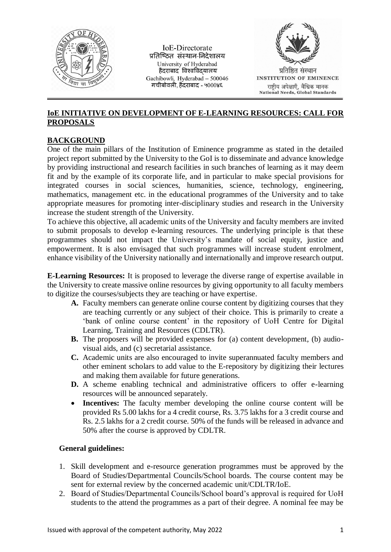

**IoE-Directorate** प्रतिष्ठित संस्थान-निदेशालय University of Hyderabad हैदराबाद विश्वविदयालय Gachibowli, Hyderabad - 500046 गचीबोवली, हैंदराबाद - ५०००४६



## **IoE INITIATIVE ON DEVELOPMENT OF E-LEARNING RESOURCES: CALL FOR PROPOSALS**

## **BACKGROUND**

One of the main pillars of the Institution of Eminence programme as stated in the detailed project report submitted by the University to the GoI is to disseminate and advance knowledge by providing instructional and research facilities in such branches of learning as it may deem fit and by the example of its corporate life, and in particular to make special provisions for integrated courses in social sciences, humanities, science, technology, engineering, mathematics, management etc. in the educational programmes of the University and to take appropriate measures for promoting inter-disciplinary studies and research in the University increase the student strength of the University.

To achieve this objective, all academic units of the University and faculty members are invited to submit proposals to develop e-learning resources. The underlying principle is that these programmes should not impact the University's mandate of social equity, justice and empowerment. It is also envisaged that such programmes will increase student enrolment, enhance visibility of the University nationally and internationally and improve research output.

**E-Learning Resources:** It is proposed to leverage the diverse range of expertise available in the University to create massive online resources by giving opportunity to all faculty members to digitize the courses/subjects they are teaching or have expertise.

- **A.** Faculty members can generate online course content by digitizing courses that they are teaching currently or any subject of their choice. This is primarily to create a 'bank of online course content' in the repository of UoH Centre for Digital Learning, Training and Resources (CDLTR).
- **B.** The proposers will be provided expenses for (a) content development, (b) audiovisual aids, and (c) secretarial assistance.
- **C.** Academic units are also encouraged to invite superannuated faculty members and other eminent scholars to add value to the E-repository by digitizing their lectures and making them available for future generations.
- **D.** A scheme enabling technical and administrative officers to offer e-learning resources will be announced separately.
- **Incentives:** The faculty member developing the online course content will be provided Rs 5.00 lakhs for a 4 credit course, Rs. 3.75 lakhs for a 3 credit course and Rs. 2.5 lakhs for a 2 credit course. 50% of the funds will be released in advance and 50% after the course is approved by CDLTR.

## **General guidelines:**

- 1. Skill development and e-resource generation programmes must be approved by the Board of Studies/Departmental Councils/School boards. The course content may be sent for external review by the concerned academic unit/CDLTR/IoE.
- 2. Board of Studies/Departmental Councils/School board's approval is required for UoH students to the attend the programmes as a part of their degree. A nominal fee may be